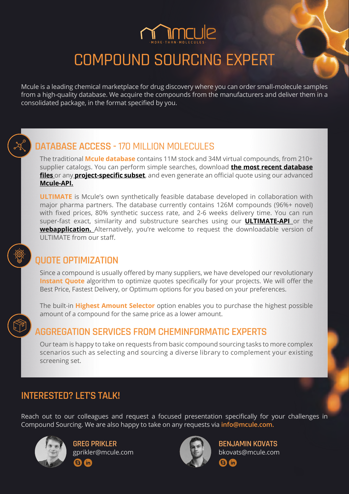## COMPOUND SOURCING EXPERT

Mcule is a leading chemical marketplace for drug discovery where you can order small-molecule samples from a high-quality database. We acquire the compounds from the manufacturers and deliver them in a consolidated package, in the format specified by you.



## **DATABASE ACCESS - 170 MILLION MOLECULES**

The traditional **Mcule database** contains 11M stock and 34M virtual compounds, from 210+ supplier catalogs. You can perform simple searches, download **the [most recent database](https://mcule.com/database/)  [files](https://mcule.com/database/)** or any **[project-specific subset](https://mcule.com/database/#libraries)**, and even generate an official quote using our advanced **[Mcule-API.](https://doc.mcule.com/doku.php?id=api)**

**ULTIMATE** is Mcule's own synthetically feasible database developed in collaboration with major pharma partners. The database currently contains 126M compounds (96%+ novel) with fixed prices, 80% synthetic success rate, and 2-6 weeks delivery time. You can run super-fast exact, similarity and substructure searches using our **[ULTIMATE-API](https://doc.mcule.com/doku.php?id=ultimate-api&s[]=ultimate&s[]=api)** or the **webapplication.** Alternatively, you're welcome to request the downloadable version of ULTIMATE from our staff.

### **QUOTE OPTIMIZATION**

Since a compound is usually offered by many suppliers, we have developed our revolutionary **Instant Quote** algorithm to optimize quotes specifically for your projects. We will offer the Best Price, Fastest Delivery, or Optimum options for you based on your preferences.

The built-in **Highest Amount Selector** option enables you to purchase the highest possible amount of a compound for the same price as a lower amount.

### **AGGREGATION SERVICES FROM CHEMINFORMATIC EXPERTS**

Our team is happy to take on requests from basic compound sourcing tasks to more complex scenarios such as selecting and sourcing a diverse library to complement your existing screening set.

### **INTERESTED? LET'S TALK!**

Reach out to our colleagues and request a focused presentation specifically for your challenges in Compound Sourcing. We are also happy to take on any requests via **[info@mcule.com.](mailto:info%40mcule.com?subject=)**



**GREG PRIKLER** [gprikler@mcule.com](mailto:gprikler%40mcule.com?subject=) **fin** 



 $\overline{\mathbf{a}}$  $\ln$ 

**BENJAMIN KOVATS** [bkovats@mcule.com](mailto:bkovats%40mcule.com?subject=)